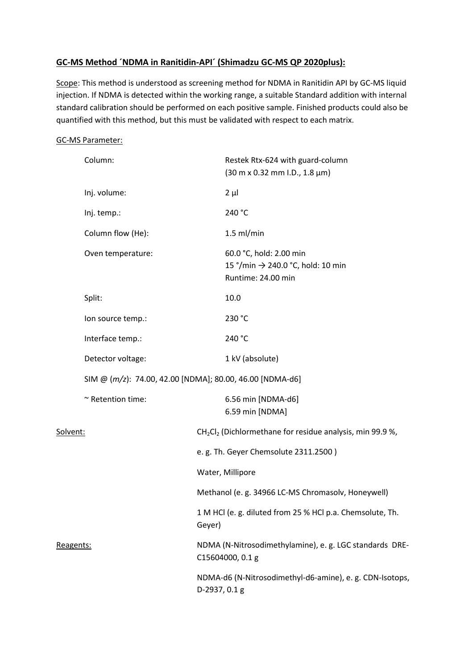# **GC-MS Method ´NDMA in Ranitidin-API´ (Shimadzu GC-MS QP 2020plus):**

Scope: This method is understood as screening method for NDMA in Ranitidin API by GC-MS liquid injection. If NDMA is detected within the working range, a suitable Standard addition with internal standard calibration should be performed on each positive sample. Finished products could also be quantified with this method, but this must be validated with respect to each matrix.

### GC-MS Parameter:

|          | Column:                                                  |                                                                                                                           | Restek Rtx-624 with guard-column<br>$(30 \text{ m} \times 0.32 \text{ mm} \cdot 1.0., 1.8 \text{ }\mu\text{m})$ |                                                                             |  |
|----------|----------------------------------------------------------|---------------------------------------------------------------------------------------------------------------------------|-----------------------------------------------------------------------------------------------------------------|-----------------------------------------------------------------------------|--|
|          | Inj. volume:                                             |                                                                                                                           | $2 \mu l$                                                                                                       |                                                                             |  |
|          | Inj. temp.:                                              |                                                                                                                           | 240 °C                                                                                                          |                                                                             |  |
|          | Column flow (He):                                        |                                                                                                                           | $1.5$ ml/min                                                                                                    |                                                                             |  |
|          | Oven temperature:                                        |                                                                                                                           | 60.0 °C, hold: 2.00 min<br>15 °/min → 240.0 °C, hold: 10 min<br>Runtime: 24.00 min                              |                                                                             |  |
|          | Split:                                                   |                                                                                                                           | 10.0                                                                                                            |                                                                             |  |
|          | Ion source temp.:                                        |                                                                                                                           | 230 °C                                                                                                          |                                                                             |  |
|          | Interface temp.:                                         |                                                                                                                           | 240 °C                                                                                                          |                                                                             |  |
|          | Detector voltage:                                        |                                                                                                                           | 1 kV (absolute)                                                                                                 |                                                                             |  |
|          | SIM @ (m/z): 74.00, 42.00 [NDMA]; 80.00, 46.00 [NDMA-d6] |                                                                                                                           |                                                                                                                 |                                                                             |  |
|          | ~ Retention time:                                        |                                                                                                                           | 6.56 min [NDMA-d6]<br>6.59 min [NDMA]                                                                           |                                                                             |  |
| Solvent: |                                                          | CH <sub>2</sub> Cl <sub>2</sub> (Dichlormethane for residue analysis, min 99.9 %,<br>e.g. Th. Geyer Chemsolute 2311.2500) |                                                                                                                 |                                                                             |  |
|          |                                                          |                                                                                                                           |                                                                                                                 | Water, Millipore                                                            |  |
|          |                                                          | Methanol (e. g. 34966 LC-MS Chromasolv, Honeywell)                                                                        |                                                                                                                 |                                                                             |  |
|          |                                                          | 1 M HCl (e. g. diluted from 25 % HCl p.a. Chemsolute, Th.<br>Geyer)                                                       |                                                                                                                 |                                                                             |  |
|          |                                                          | Reagents:                                                                                                                 |                                                                                                                 | NDMA (N-Nitrosodimethylamine), e. g. LGC standards DRE-<br>C15604000, 0.1 g |  |
|          |                                                          |                                                                                                                           | NDMA-d6 (N-Nitrosodimethyl-d6-amine), e. g. CDN-Isotops,<br>D-2937, 0.1 g                                       |                                                                             |  |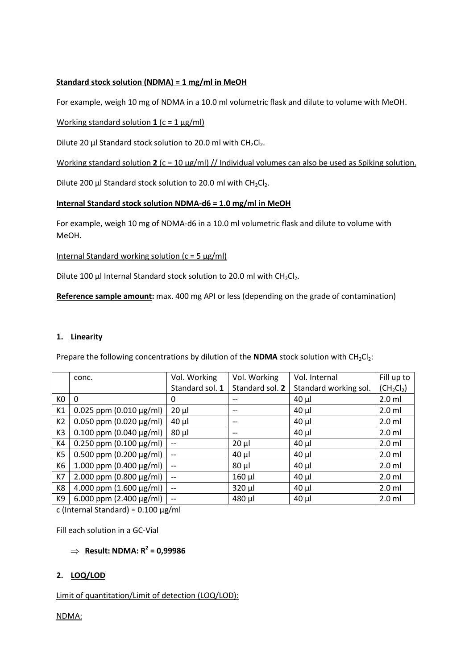# **Standard stock solution (NDMA) = 1 mg/ml in MeOH**

For example, weigh 10 mg of NDMA in a 10.0 ml volumetric flask and dilute to volume with MeOH.

#### Working standard solution  $1$  ( $c = 1$   $\mu$ g/ml)

Dilute 20 µl Standard stock solution to 20.0 ml with  $CH_2Cl_2$ .

Working standard solution **2** (c = 10 µg/ml) // Individual volumes can also be used as Spiking solution.

Dilute 200 µl Standard stock solution to 20.0 ml with  $CH_2Cl_2$ .

#### **Internal Standard stock solution NDMA-d6 = 1.0 mg/ml in MeOH**

For example, weigh 10 mg of NDMA-d6 in a 10.0 ml volumetric flask and dilute to volume with MeOH.

Internal Standard working solution  $(c = 5 \mu g/ml)$ 

Dilute 100 µl Internal Standard stock solution to 20.0 ml with  $CH_2Cl_2$ .

**Reference sample amount:** max. 400 mg API or less (depending on the grade of contamination)

#### **1. Linearity**

Prepare the following concentrations by dilution of the **NDMA** stock solution with  $CH_2Cl_2$ :

|     | conc.                            | Vol. Working                          | Vol. Working    | Vol. Internal         | Fill up to   |
|-----|----------------------------------|---------------------------------------|-----------------|-----------------------|--------------|
|     |                                  | Standard sol. 1                       | Standard sol. 2 | Standard working sol. | $(CH_2Cl_2)$ |
| KO. | $\Omega$                         | 0                                     |                 | $40 \mu$              | $2.0$ ml     |
| K1  | 0.025 ppm $(0.010 \,\mu g/ml)$   | $20 \mu$                              | $- -$           | $40 \mu$              | $2.0$ ml     |
| K2  | 0.050 ppm $(0.020 \mu g/ml)$     | $40 \mu$                              | $-$             | $40 \mu$              | $2.0$ ml     |
| K3  | $0.100$ ppm $(0.040 \,\mu g/ml)$ | $80 \mu$                              | $-$             | $40 \mu$              | $2.0$ ml     |
| K4  | $0.250$ ppm (0.100 $\mu$ g/ml)   | $\qquad \qquad -$                     | $20 \mu$        | $40 \mu$              | $2.0$ ml     |
| K5  | $0.500$ ppm (0.200 µg/ml)        | $--$                                  | $40 \mu$        | $40 \mu$              | $2.0$ ml     |
| К6  | 1.000 ppm $(0.400 \,\mu g/ml)$   | $--$                                  | $80 \mu$        | $40 \mu$              | $2.0$ ml     |
| K7  | 2.000 ppm $(0.800 \,\mu g/ml)$   | $\hspace{0.05cm}$ – $\hspace{0.05cm}$ | $160$ µl        | $40 \mu$              | $2.0$ ml     |
| K8  | 4.000 ppm $(1.600 \,\mu g/ml)$   | $\hspace{0.05cm} \textbf{--}$         | $320 \mu$       | $40 \mu$              | $2.0$ ml     |
| K9  | 6.000 ppm $(2.400 \mu g/ml)$     | $- -$                                 | 480 µl          | $40 \mu$              | $2.0$ ml     |

c (Internal Standard) =  $0.100 \mu g/ml$ 

Fill each solution in a GC-Vial

# $\Rightarrow$  **Result:** NDMA:  $R^2$  = 0,99986

### **2. LOQ/LOD**

Limit of quantitation/Limit of detection (LOQ/LOD):

NDMA: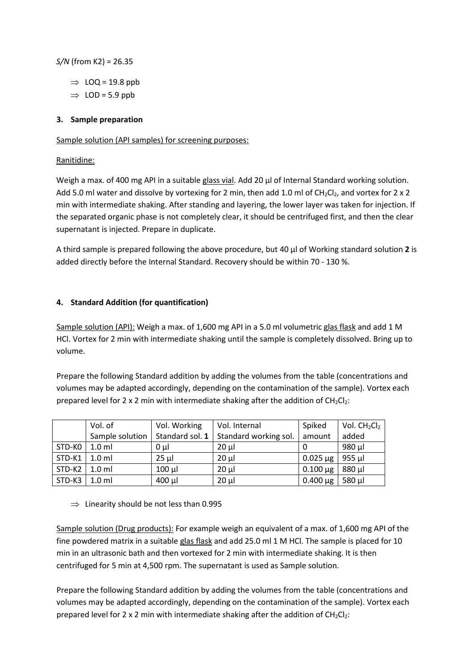*S/N* (from K2) = 26.35

- $\Rightarrow$  LOQ = 19.8 ppb
- $\Rightarrow$  LOD = 5.9 ppb

# **3. Sample preparation**

#### Sample solution (API samples) for screening purposes:

### Ranitidine:

Weigh a max. of 400 mg API in a suitable glass vial. Add 20 µl of Internal Standard working solution. Add 5.0 ml water and dissolve by vortexing for 2 min, then add 1.0 ml of CH<sub>2</sub>Cl<sub>2</sub>, and vortex for 2 x 2 min with intermediate shaking. After standing and layering, the lower layer was taken for injection. If the separated organic phase is not completely clear, it should be centrifuged first, and then the clear supernatant is injected. Prepare in duplicate.

A third sample is prepared following the above procedure, but 40 µl of Working standard solution **2** is added directly before the Internal Standard. Recovery should be within 70 - 130 %.

### **4. Standard Addition (for quantification)**

Sample solution (API): Weigh a max. of 1,600 mg API in a 5.0 ml volumetric glas flask and add 1 M HCl. Vortex for 2 min with intermediate shaking until the sample is completely dissolved. Bring up to volume.

Prepare the following Standard addition by adding the volumes from the table (concentrations and volumes may be adapted accordingly, depending on the contamination of the sample). Vortex each prepared level for 2 x 2 min with intermediate shaking after the addition of  $CH_2Cl_2$ :

|        | Vol. of          | Vol. Working    | Vol. Internal         | Spiked        | Vol. $CH2Cl2$ |
|--------|------------------|-----------------|-----------------------|---------------|---------------|
|        | Sample solution  | Standard sol. 1 | Standard working sol. | amount        | added         |
| STD-KO | $1.0$ ml         | $0 \mu$         | $20 \mu$              |               | 980 µl        |
| STD-K1 | $1.0$ ml         | $25 \mu$        | $20 \mu$              | $0.025 \mu g$ | $955$ µl      |
| STD-K2 | $1.0$ ml         | $100 \mu$       | $20 \mu$              | $0.100 \mu g$ | $880 \mu$     |
| STD-K3 | 1.0 <sub>m</sub> | $400$ µl        | $20 \mu$              | $0.400 \mu g$ | 580 µl        |

 $\Rightarrow$  Linearity should be not less than 0.995

Sample solution (Drug products): For example weigh an equivalent of a max. of 1,600 mg API of the fine powdered matrix in a suitable glas flask and add 25.0 ml 1 M HCl. The sample is placed for 10 min in an ultrasonic bath and then vortexed for 2 min with intermediate shaking. It is then centrifuged for 5 min at 4,500 rpm. The supernatant is used as Sample solution.

Prepare the following Standard addition by adding the volumes from the table (concentrations and volumes may be adapted accordingly, depending on the contamination of the sample). Vortex each prepared level for 2 x 2 min with intermediate shaking after the addition of  $CH_2Cl_2$ :